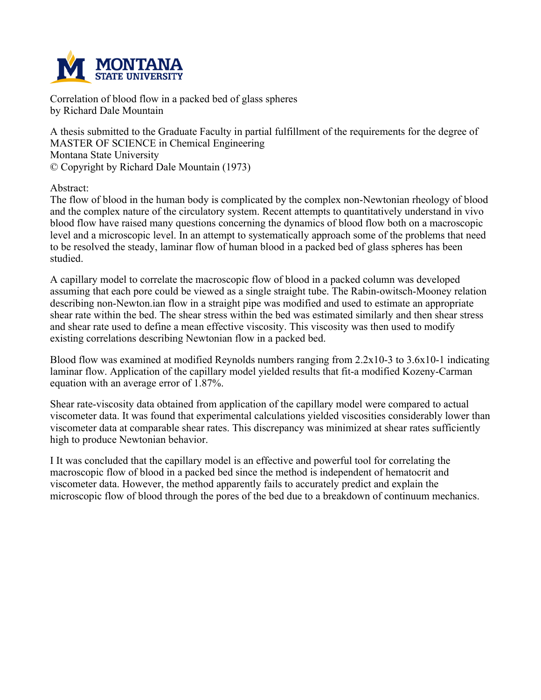

**Correlation of blood flow in a packed bed of glass spheres by Richard Dale Mountain**

**A thesis submitted to the Graduate Faculty in partial fulfillment of the requirements for the degree of MASTER OF SCIENCE in Chemical Engineering Montana State University © Copyright by Richard Dale Mountain (1973)**

**Abstract:**

**The flow of blood in the human body is complicated by the complex non-Newtonian rheology of blood and the complex nature of the circulatory system. Recent attempts to quantitatively understand in vivo blood flow have raised many questions concerning the dynamics of blood flow both on a macroscopic level and a microscopic level. In an attempt to systematically approach some of the problems that need** to be resolved the steady, laminar flow of human blood in a packed bed of glass spheres has been **studied.**

**A capillary model to correlate the macroscopic flow of blood in a packed column was developed assuming that each pore could be viewed as a single straight tube. The Rabin-owitsch-Mooney relation describing non-Newton.ian flow in a straight pipe was modified and used to estimate an appropriate** shear rate within the bed. The shear stress within the bed was estimated similarly and then shear stress **and shear rate used to define a mean effective viscosity. This viscosity was then used to modify existing correlations describing Newtonian flow in a packed bed.**

**Blood flow was examined at modified Reynolds numbers ranging from 2.2x10-3 to 3.6x10-1 indicating laminar flow. Application of the capillary model yielded results that fit-a modified Kozeny-Carman equation with an average error of 1.87%.**

**Shear rate-viscosity data obtained from application of the capillary model were compared to actual viscometer data. It was found that experimental calculations yielded viscosities considerably lower than viscometer data at comparable shear rates. This discrepancy was minimized at shear rates sufficiently high to produce Newtonian behavior.**

**I It was concluded that the capillary model is an effective and powerful tool for correlating the macroscopic flow of blood in a packed bed since the method is independent of hematocrit and viscometer data. However, the method apparently fails to accurately predict and explain the microscopic flow of blood through the pores of the bed due to a breakdown of continuum mechanics.**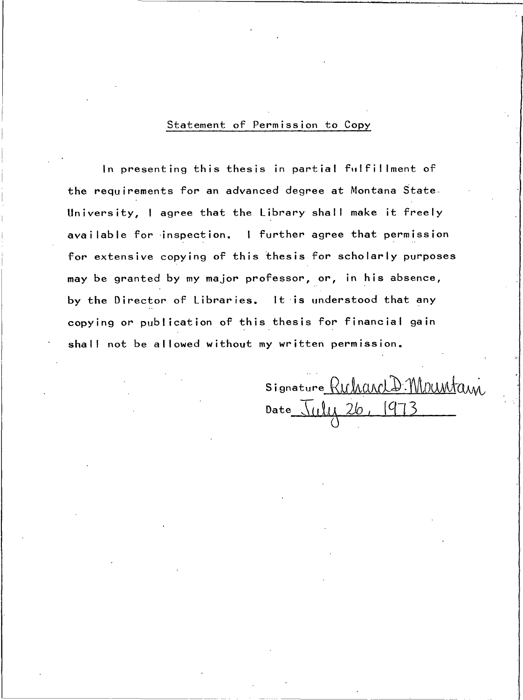## Statement of Permission to Copy

In presenting this thesis in partial fulfillment of the requirements for an advanced degree at Montana State. University, I agree that the Library shall make it freely available for inspection. I further agree that permission for extensive copying of this thesis for scholarly purposes may be granted by my major professor, or, in his absence, by the Director of Libraries. It is understood that any copying or publication of this thesis for financial gain shall not be allowed without my written permission.

Signature Ruhand D. Mountain Date July 26, 1973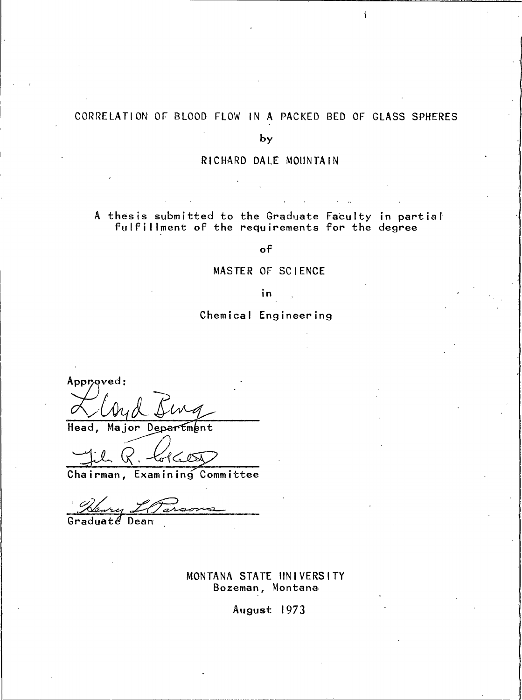# CORRELATION OF BLOOD FLOW IN A PACKED BED OF GLASS SPHERES

by

RICHARD DALE MOUNTAIN

A thesis submitted to the Graduate Faculty in partial<br>fulfillment of the requirements for the degree

 $\circ$ f

### MASTER OF SCIENCE

in.

# Chemical Engineering

Approved:

Head, Major Department

 $\zeta_0$  $\zeta_1$  $\zeta_2$ 

Chairman, Examining Committee

Graduate Dean

MONTANA STATE UNIVERSITY Bozeman, Montana

August 1973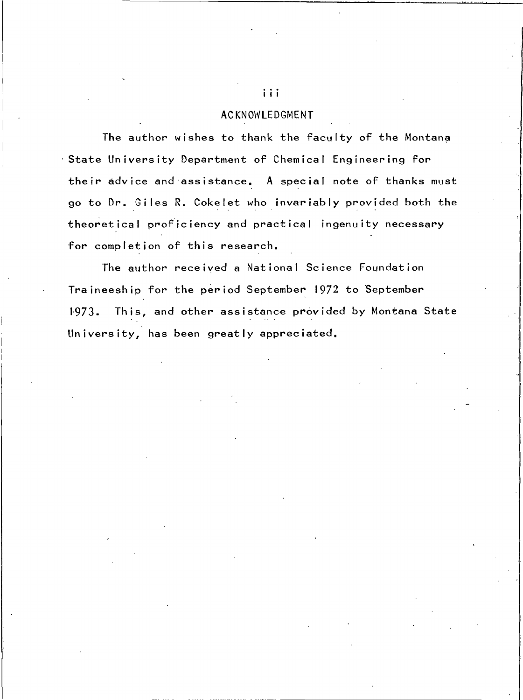### ACKNOWLEDGMENT

The author wishes to thank the faculty of the Montana State University Department of Chemical Engineering for their advice and assistance. A special note of thanks must go to Dr. Giles R. Cokelet who invariably provided both the theoretical proficiency and practical ingenuity necessary for completion of this research.

The author received a National Science Foundation Traineeship for the period September 1972 to September  $1973.$ This, and other assistance provided by Montana State University, has been greatly appreciated.

iii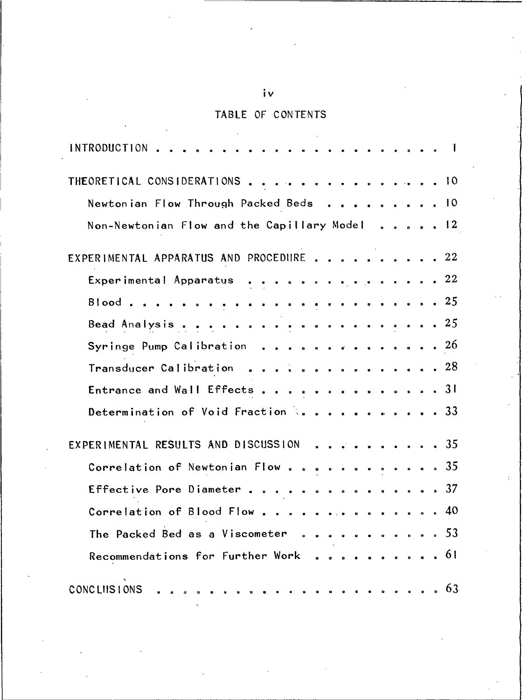# TABLE OF CONTENTS

l.

 $\bar{z}$ 

| INTRODUCTION<br>. 1                           |
|-----------------------------------------------|
| THEORETICAL CONSIDERATIONS 10                 |
| Newtonian Flow Through Packed Beds 10         |
| Non-Newtonian Flow and the Capillary Model 12 |
| EXPERIMENTAL APPARATUS AND PROCEDURE 22       |
| Experimental Apparatus 22                     |
|                                               |
|                                               |
| Syringe Pump Calibration 26                   |
| Transducer Calibration 28                     |
| Entrance and Wall Effects 31                  |
| Determination of Void Fraction  33            |
| EXPERIMENTAL RESULTS AND DISCUSSION 35        |
| Correlation of Newtonian Flow 35              |
| Effective Pore Diameter37                     |
| Correlation of Blood Flow 40                  |
| The Packed Bed as a Viscometer 53             |
| Recommendations for Further Work 61           |
| . 63<br>CONCLUSIONS                           |

 $i \vee$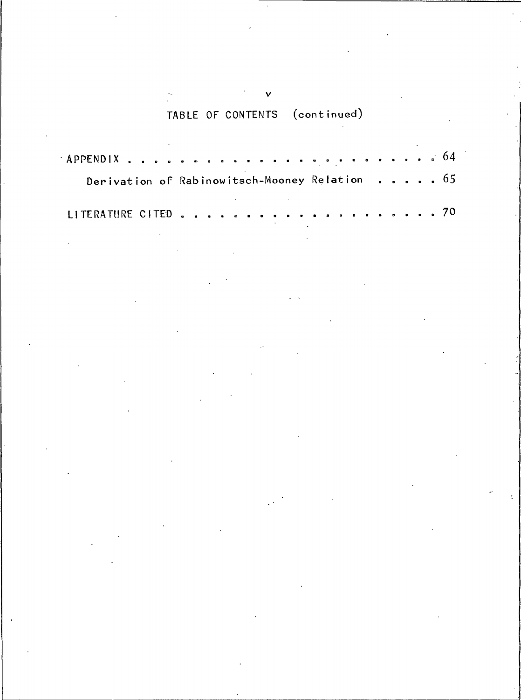# TABLE OF CONTENTS (continued)

| Derivation of Rabinowitsch-Mooney Relation 65                   |  |  |  |
|-----------------------------------------------------------------|--|--|--|
| the contract of the contract of the contract of the contract of |  |  |  |
|                                                                 |  |  |  |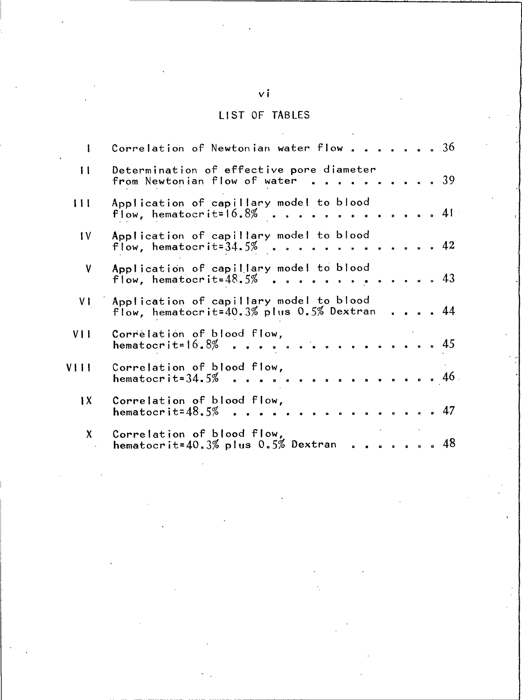# LIST OF TABLES

| $\mathbf{I}$   | Correlation of Newtonian water flow 36                                                      |
|----------------|---------------------------------------------------------------------------------------------|
| $\mathbf{H}$   | Determination of effective pore diameter<br>from Newtonian flow of water $\ldots$ 39        |
| $111 -$        | Application of capillary model to blood<br>flow, hematocrit= $16.8\%$ 41                    |
| IV             | Application of capillary model to blood<br>flow, hematocrit= $34.5%$ 42                     |
| $\mathsf{V}^-$ | Application of capillary model to blood<br>flow, hematocrit= $48.5\%$ 43                    |
|                | VI Application of capillary model to blood<br>flow, hematocrit=40.3% plus $0.5%$ Dextran 44 |
| V <sub>1</sub> | Correlation of blood flow,<br>hematocrit=16.8% 45                                           |
| V111           | Correlation of blood flow,<br>hematocrit=34.5% 46                                           |
| X              | Correlation of blood flow,<br>hematocrit=48.5% 47                                           |
| $\mathsf{X}$   | Correlation of blood flow,<br>hematocrit=40.3% plus $0.5%$ Dextran 48                       |

 $\mathbf{v}^{\dagger}$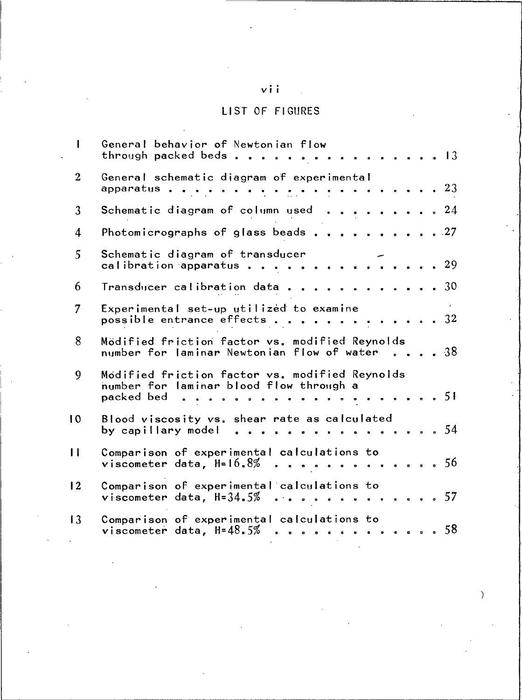# $vii = 1$

# LIST OF FIGURES

| $\overline{1}$   | General behavior of Newtonian flow<br>through packed beds 13                                    |
|------------------|-------------------------------------------------------------------------------------------------|
| $\boldsymbol{2}$ | General schematic diagram of experimental                                                       |
| $\mathfrak{Z}$   | Schematic diagram of column used $\ldots$ 24                                                    |
| 4                | Photomicrographs of glass beads 27                                                              |
| 5                | Schematic diagram of transducer<br>calibration apparatus 29                                     |
| 6                | Transducer calibration data 30                                                                  |
| $\overline{7}$   | Experimental set-up utilized to examine<br>possible entrance effects 32                         |
| 8                | Mödified friction factor vs. modified Reynolds<br>number for laminar Newtonian flow of water 38 |
| 9                | Modified friction factor vs. modified Reynolds<br>number for laminar blood flow through a       |
| $\mathbf 0$      | Blood viscosity vs. shear rate as calculated<br>by capillary model 54                           |
| $\mathbf{I}$     | Comparison of experimental calculations to<br>viscometer data, $H=16.8\%$ 56                    |
| $\overline{2}$   | Comparison of experimental calculations to<br>viscometer data, $H = 34.5%$ 57                   |
| $\overline{3}$   | Comparison of experimental calculations to<br>viscometer data, $H = 48.5\%$ 58                  |

)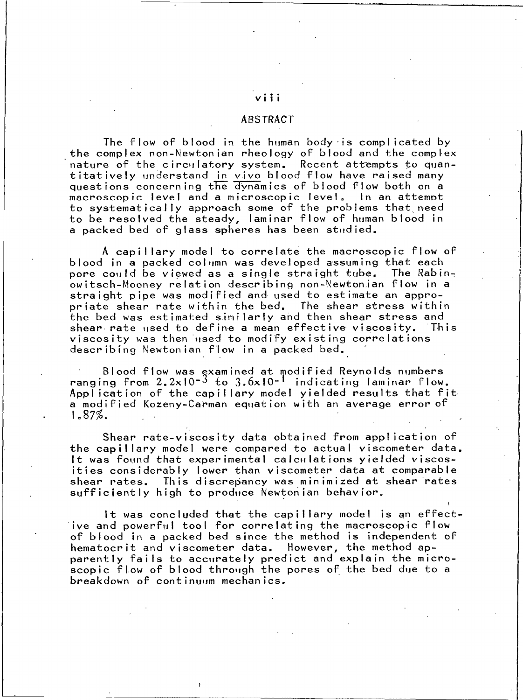### ABSTRACT

The flow of blood in the human body is complicated by the complex non-Newtonian rheology of blood and the complex nature of the circulatory system. Recent attempts to quantitatively understand in vivo blood flow have raised many questions concerning the dynamics of blood flow both on a macroscopic level and a microscopic level. In an attempt to systematically approach some of the problems that need to be resolved the steady, laminar flow of human blood in a packed bed of glass spheres has been studied.

A capillary model to correlate the macroscopic flow of blood in a packed column was developed assuming that each pore could be viewed as a single straight tube. The Rabinowitsch-Mooney relation describing non-Newtonian flow in a straight pipe was modified and used to estimate an appropriate shear rate within the bed. The shear stress within the bed was estimated similarly and then shear stress and shear rate used to define a mean effective viscosity. This viscosity was then used to modify existing correlations describing Newtonian flow in a packed bed.

Blood flow was gxamined at modified Reynolds numbers ranging from  $2.2 \times 10^{-3}$  to  $3.6 \times 10^{-1}$  indicating laminar flow. Application of the capillary model yielded results that fit a modified Kozeny-Carman equation with an average error of  $1.87\%$ 

Shear rate-viscosity data obtained from application of the capillary model were compared to actual viscometer data. It was found that experimental calculations yielded viscosities considerably lower than viscometer data at comparable shear rates. This discrepancy was minimized at shear rates sufficiently high to produce Newtonian behavior.

It was concluded that the capillary model is an effective and powerful tool for correlating the macroscopic flow of blood in a packed bed since the method is independent of hematocrit and viscometer data. However, the method apparently fails to accurately predict and explain the microscopic flow of blood through the pores of the bed due to a breakdown of continuum mechanics.

# viii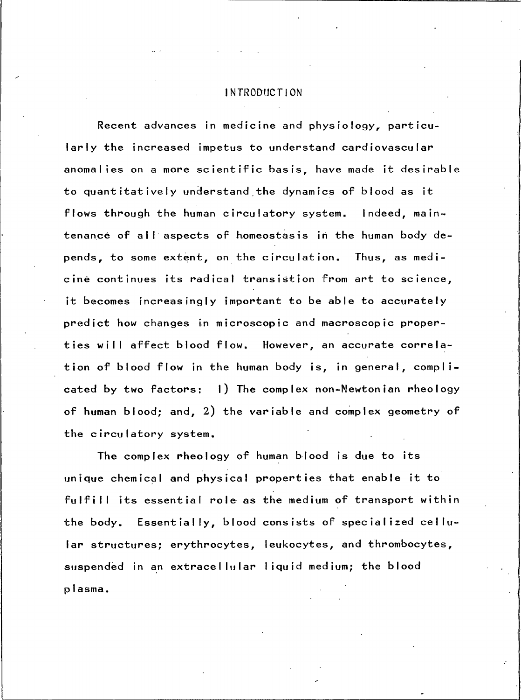#### INTRODUCTION

Recent advances in medicine and physiology, particularly the increased impetus to understand cardiovascular anomalies on a more scientific basis, have made it desirable to quantitatively understand the dynamics of blood as it flows through the human circulatory system. Indeed, maintenance of all aspects of homeostasis in the human body depends, to some extent, on the circulation. Thus, as medicine continues its radical transistion from art to science, it becomes increasingly important to be able to accurately predict how changes in microscopic and macroscopic properties will affect blood flow. However, an accurate correlation of blood flow in the human body is, in general, complicated by two factors: 1) The complex non-Newtonian rheology of human blood; and, 2) the variable and complex geometry of the circulatory system.

The complex rheology of human blood is due to its unique chemical and physical properties that enable it to fulfill its essential role as the medium of transport within the body. Essentially, blood consists of specialized cellular structures; erythrocytes, leukocytes, and thrombocytes, suspended in an extracellular liquid medium; the blood plasma.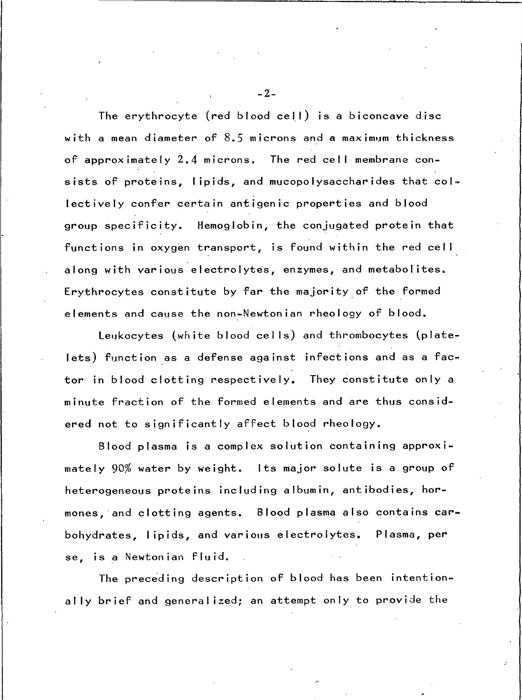The erythrocyte (red blood cell) is a biconcave disc with a mean diameter of 8.5 microns and a maximum thickness of approximately  $2.4$  microns. The red cell membrane consists of proteins, lipids, and mucopolysaccharides that collectively confer certain antigenic properties and blood group specificity. Hemoglobin, the conjugated protein that functions in oxygen transport, is found within the red cell along with various electrolytes, enzymes, and metabolites. Erythrocytes constitute by far the majority of the formed elements and cause the non-Newtonian rheology of blood.

Leukocytes (white blood cells) and thrombocytes (platelets) function as a defense against infections and as a factor in blood clotting respectively. They constitute only a minute fraction of the formed elements and are thus considered not to significantly affect blood rheology.

Blood plasma is a complex solution containing approximately 90% water by weight. Its major solute is a group of heterogeneous proteins including albumin, antibodies, hormones, and clotting agents. Blood plasma also contains carbohydrates, lipids, and various electrolytes. Plasma, per se, is a Newtonian fluid.

The preceding description of blood has been intentionally brief and generalized; an attempt only to provide the

 $-2-$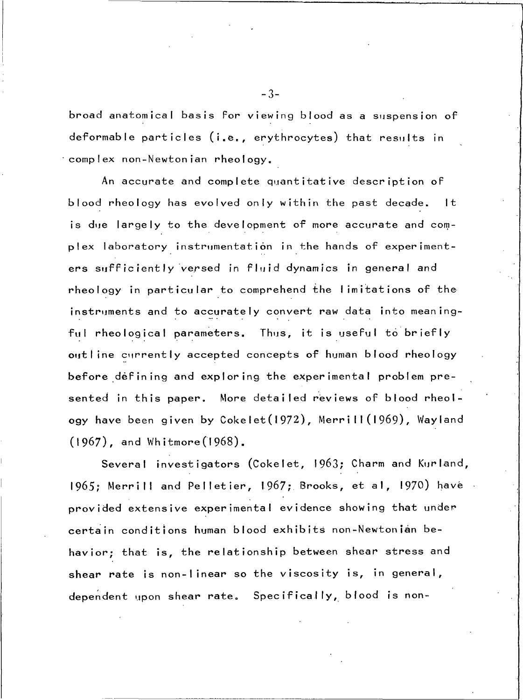broad anatomical basis for viewing blood as a suspension of deformable particles (i.e., erythrocytes) that results in complex non-Newtonian rheology.

An accurate and complete quantitative description of blood rheology has evolved only within the past decade. 1t is due largely to the development of more accurate and complex laboratory instrumentation in the hands of experimenters sufficiently versed in fluid dynamics in general and rheology in particular to comprehend the limitations of the instruments and to accurately convert raw data into meaningful rheological parameters. Thus, it is useful to briefly outline currently accepted concepts of human blood rheology before defining and exploring the experimental problem presented in this paper. More detailed reviews of blood rheology have been given by Cokelet(1972), Merrill(1969), Wayland  $(1967)$ , and Whitmore $(1968)$ .

Several investigators (Cokelet, 1963; Charm and Kurland, 1965; Merrill and Pelletier, 1967; Brooks, et al, 1970) have provided extensive experimental evidence showing that under certain conditions human blood exhibits non-Newtonian behavior; that is, the relationship between shear stress and shear rate is non-linear so the viscosity is, in general, dependent upon shear rate. Specifically, blood is non-

 $-3-$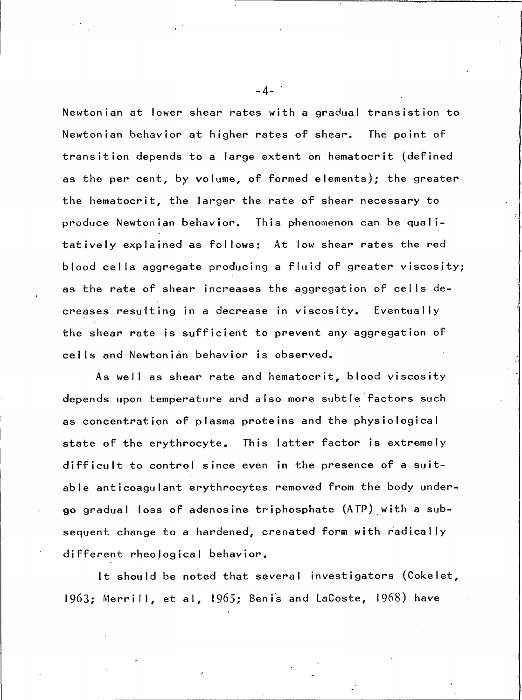Newtonian at lower shear rates with a gradual transistion to Newtonian behavior at higher rates of shear. The point of transition depends to a large extent on hematocrit (defined as the per cent, by volume, of formed elements); the greater the hematocrit, the larger the rate of shear necessary to produce Newtonian behavior. This phenomenon can be qualitatively explained as follows: At low shear rates the red blood cells aggregate producing a fluid of greater viscosity; as the rate of shear increases the aggregation of cells decreases resulting in a decrease in viscosity. Eventually the shear rate is sufficient to prevent any aggregation of cells and Newtonian behavior is observed.

As well as shear rate and hematocrit, blood viscosity depends upon temperature and also more subtle factors such as concentration of plasma proteins and the physiological state of the erythrocyte. This latter factor is extremely difficult to control since even in the presence of a suitable anticoagulant erythrocytes removed from the body undergo gradual loss of adenosine triphosphate (ATP) with a subsequent change to a hardened, crenated form with radically different rheological behavior.

It should be noted that several investigators (Cokelet, 1963; Merrill, et al, 1965; Benis and LaCoste, 1968) have

 $-4-$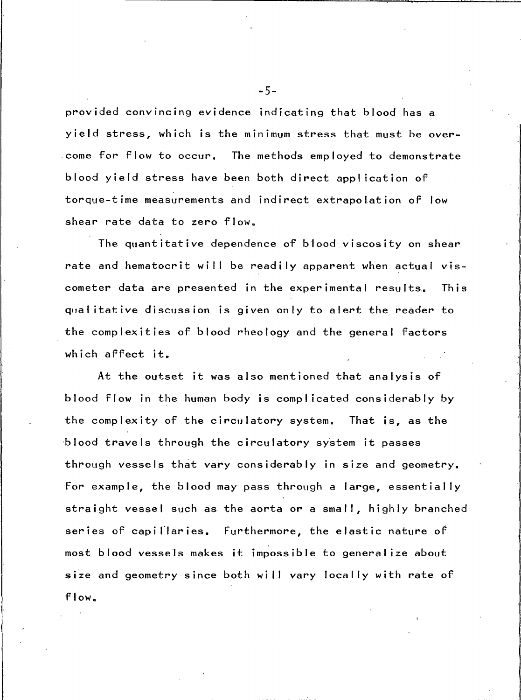provided convincing evidence indicating that blood has a yield stress, which is the minimum stress that must be overcome for flow to occur. The methods employed to demonstrate blood yield stress have been both direct application of torque-time measurements and indirect extrapolation of low shear rate data to zero flow.

The quantitative dependence of blood viscosity on shear rate and hematocrit will be readily apparent when actual viscometer data are presented in the experimental results. This qualitative discussion is given only to alert the reader to the complexities of blood rheology and the general factors which affect it.

At the outset it was also mentioned that analysis of blood flow in the human body is complicated considerably by the complexity of the circulatory system. That is, as the blood travels through the circulatory system it passes through vessels that vary considerably in size and geometry. For example, the blood may pass through a large, essentially straight vessel such as the aorta or a small, highly branched series of capillaries. Furthermore, the elastic nature of most blood vessels makes it impossible to generalize about size and geometry since both will vary locally with rate of flow.

 $-5-$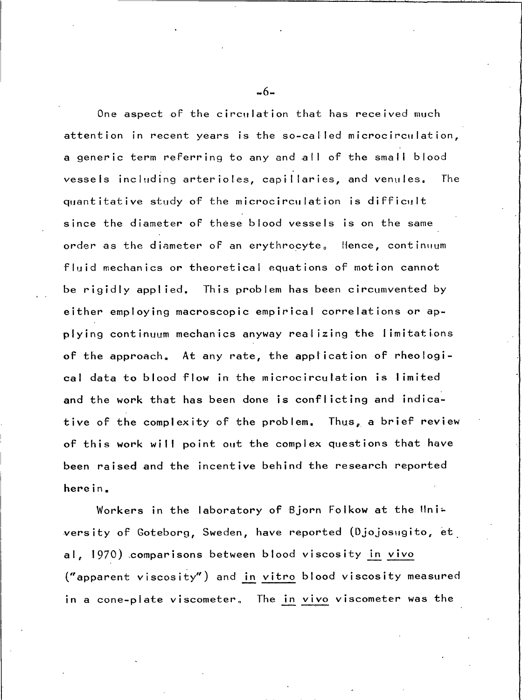One aspect of the circulation that has received much attention in recent years is the so-called microcirculation, a generic term referring to any and all of the small blood vessels including arterioles, capillaries, and venules. The quantitative study of the microcirculation is difficult since the diameter of these blood vessels is on the same order as the diameter of an erythrocyte. Hence, continuum fluid mechanics or theoretical equations of motion cannot be rigidly applied. This problem has been circumvented by either employing macroscopic empirical correlations or applying continuum mechanics anyway realizing the limitations of the approach. At any rate, the application of rheological data to blood flow in the microcirculation is limited and the work that has been done is conflicting and indicative of the complexity of the problem. Thus, a brief review of this work will point out the complex questions that have been raised and the incentive behind the research reported here in.

Workers in the laboratory of Bjorn Folkow at the University of Goteborg, Sweden, have reported (Djojosugito, et al, 1970) comparisons between blood viscosity in vivo ("apparent viscosity") and in vitro blood viscosity measured in a cone-plate viscometer. The in vivo viscometer was the

-6-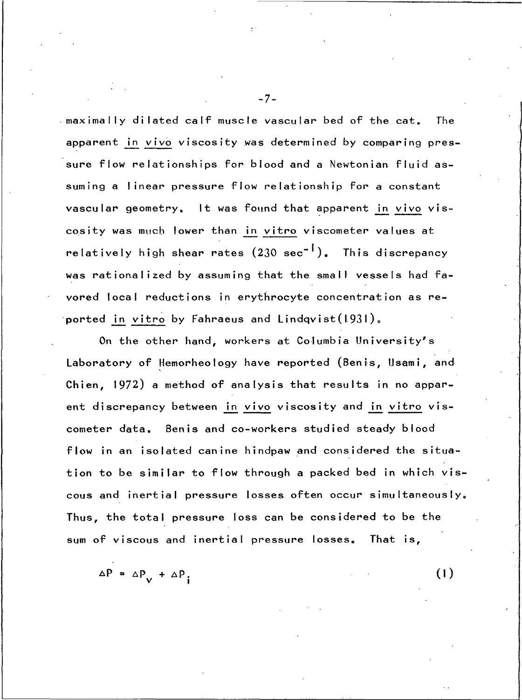$\blacksquare$  maximally dilated calf muscle vascular bed of the cat. The apparent in vivo viscosity was determined by comparing pressure flow relationships for blood and a Newtonian fluid assuming a linear pressure flow relationship for a constant vascular geometry. It was found that apparent in vivo viscosity was much lower than in vitro viscometer values at relatively high shear rates  $(230 \text{ sec}^{-1})$ . This discrepancy was rationalized by assuming that the small vessels had favored local reductions in erythrocyte concentration as reported in vitro by Fahraeus and Lindqvist(1931).

On the other hand, workers at Columbia University's Laboratory of Hemorheology have reported (Benis, Usami, and Chien, 1972) a method of analysis that results in no apparent discrepancy between in vivo viscosity and in vitro viscometer data. Benis and co-workers studied steady blood flow in an isolated canine hindpaw and considered the situation to be similar to flow through a packed bed in which viscous and inertial pressure losses often occur simultaneously. Thus, the total pressure loss can be considered to be the sum of viscous and inertial pressure losses. That is,

 $\Delta P = \Delta P_V + \Delta P_i$  $(1)$ 

 $-7-$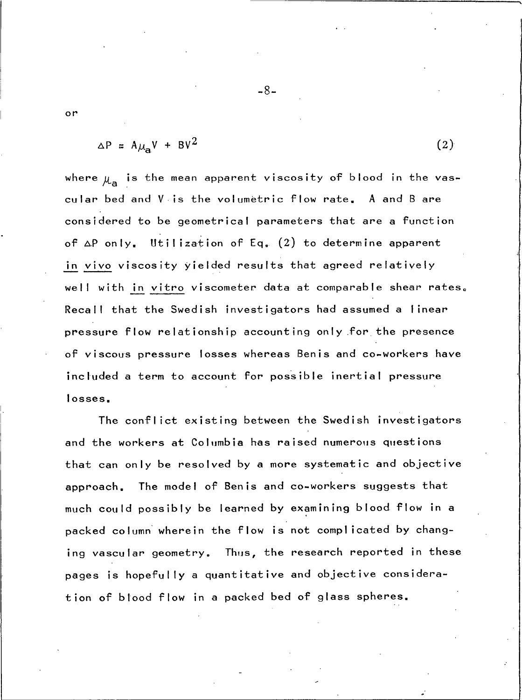$$
\Delta P = A_{\mu_0} V + B V^2 \tag{2}
$$

where  $\mu_a$  is the mean apparent viscosity of blood in the vascular bed and V is the volumetric flow rate. A and B are considered to be geometrical parameters that are a function of  $\Delta P$  only. Utilization of Eq. (2) to determine apparent in vivo viscosity yielded results that agreed relatively well with in vitro viscometer data at comparable shear rates. Recall that the Swedish investigators had assumed a linear pressure flow relationship accounting only for the presence of viscous pressure losses whereas Benis and co-workers have included a term to account for possible inertial pressure losses.

The conflict existing between the Swedish investigators and the workers at Columbia has raised numerous questions that can only be resolved by a more systematic and objective The model of Benis and co-workers suggests that approach. much could possibly be learned by examining blood flow in a packed column wherein the flow is not complicated by changing vascular geometry. Thus, the research reported in these pages is hopefully a quantitative and objective consideration of blood flow in a packed bed of glass spheres.

-8-

or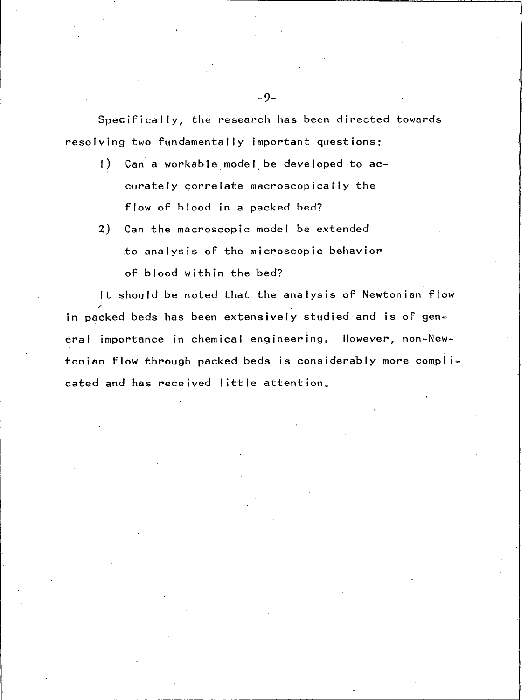Specifically, the research has been directed towards resolving two fundamentally important questions:

- $\left| \cdot \right|$ Can a workable model be developed to accurately correlate macroscopically the flow of blood in a packed bed?
- 2) Can the macroscopic model be extended to analysis of the microscopic behavior of blood within the bed?

It should be noted that the analysis of Newtonian flow in packed beds has been extensively studied and is of general importance in chemical engineering. However, non-Newtonian flow through packed beds is considerably more complicated and has received little attention.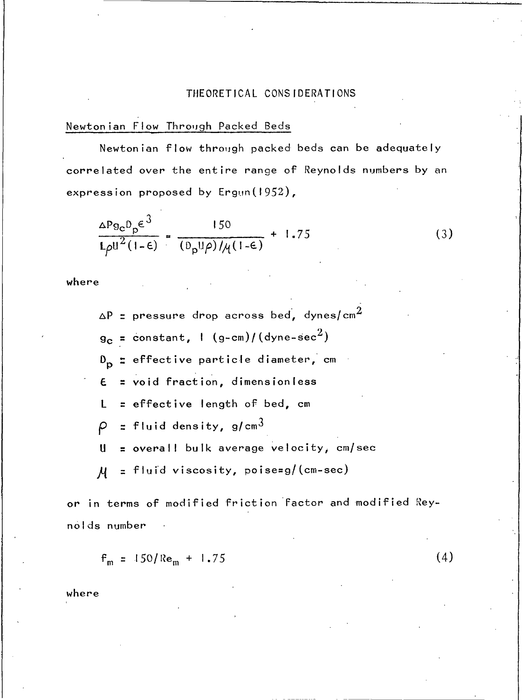### THEORETICAL CONSIDERATIONS

## Newtonian Flow Through Packed Beds

Newtonian flow through packed beds can be adequately correlated over the entire range of Reynolds numbers by an expression proposed by Ergun(1952),

$$
\frac{\Delta P_{9c} D_p \epsilon^3}{L \rho U^2 (1 - \epsilon)} = \frac{150}{(D_p U \rho) / \mu (1 - \epsilon)} + 1.75
$$
 (3)

where

 $\Delta P$  = pressure drop across bed, dynes/cm<sup>2</sup>  $g_c = \text{constant}$ ,  $\left( (g-cm)/(dyne-sec^2) \right)$  $D_{\rm p}$  = effective particle diameter, cm = void fraction, dimensionless  $\epsilon$ = effective length of bed, cm L  $=$  fluid density, g/cm<sup>3</sup>  $\boldsymbol{\rho}$ = overall bulk average velocity, cm/sec  $\mathbf{u}$ = fluid viscosity, poise=g/(cm-sec)  $\overline{\mathcal{H}}$ 

or in terms of modified friction factor and modified Reynolds number

$$
f_m = 150/Re_m + 1.75
$$

where

 $(4)$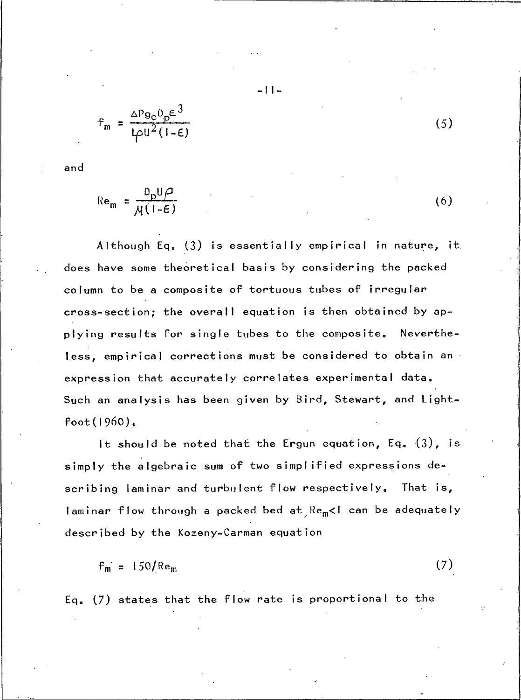$$
P_m = \frac{\Delta P g_c D_p \epsilon^3}{\mu U^2 (1 - \epsilon)}
$$
 (5)

and

$$
Re_m = \frac{D_p U \rho}{\mu (1 - \epsilon)} \tag{6}
$$

Although Eq. (3) is essentially empirical in nature, it. does have some theoretical basis by considering the packed column to be a composite of tortuous tubes of irregular cross-section; the overall equation is then obtained by ap-Nevertheplying results for single tubes to the composite. less, empirical corrections must be considered to obtain an expression that accurately correlates experimental data. Such an analysis has been given by Bird, Stewart, and Light $foot(1960).$ 

It should be noted that the Ergun equation, Eq. (3), is simply the algebraic sum of two simplified expressions describing laminar and turbulent flow respectively. That is, laminar flow through a packed bed at Re<sub>m</sub><1 can be adequately described by the Kozeny-Carman equation

 $f_m = 150/Re_m$  $(7)$ 

 $Eq. (7)$  states that the flow rate is proportional to the

 $-11-$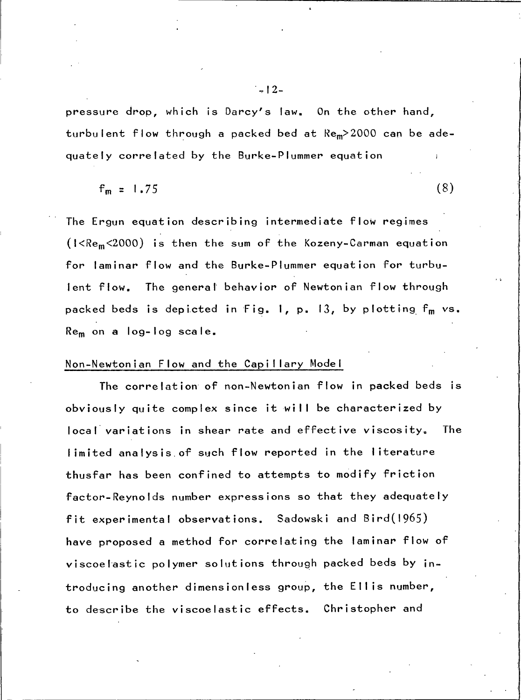pressure drop, which is Darcy's law. On the other hand, turbulent flow through a packed bed at Rem>2000 can be adequately correlated by the Burke-Plummer equation

 $f_m = 1.75$  $(8)$ 

The Ergun equation describing intermediate flow regimes (I<Re<sub>m</sub><2000) is then the sum of the Kozeny-Carman equation for laminar flow and the Burke-Plummer equation for turbu-The general behavior of Newtonian flow through lent flow. packed beds is depicted in Fig. 1, p. 13, by plotting f<sub>m</sub> vs. Re<sub>m</sub> on a log-log scale.

#### Non-Newtonian Flow and the Capillary Model

The correlation of non-Newtonian flow in packed beds is obviously quite complex since it will be characterized by local variations in shear rate and effective viscosity. The limited analysis of such flow reported in the literature thusfar has been confined to attempts to modify friction factor-Reynolds number expressions so that they adequately fit experimental observations. Sadowski and Bird(1965) have proposed a method for correlating the laminar flow of viscoelastic polymer solutions through packed beds by introducing another dimensionless group, the Ellis number, to describe the viscoelastic effects. Christopher and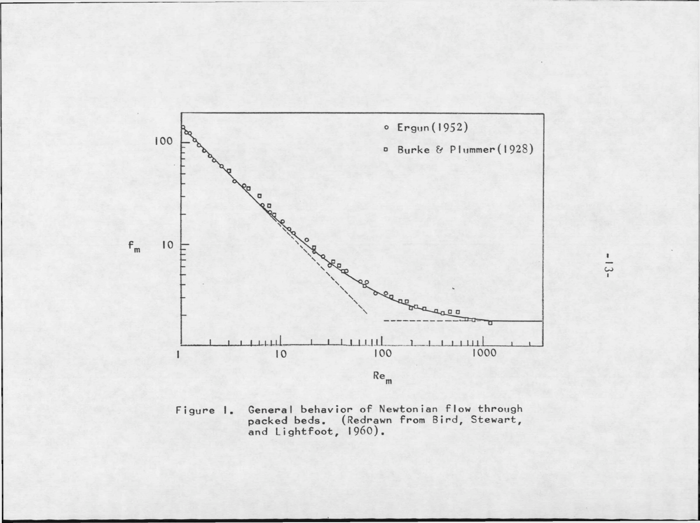

General behavior of Newtonian flow through<br>packed beds. (Redrawn from Bird, Stewart,<br>and Lightfoot, 1960). Figure 1.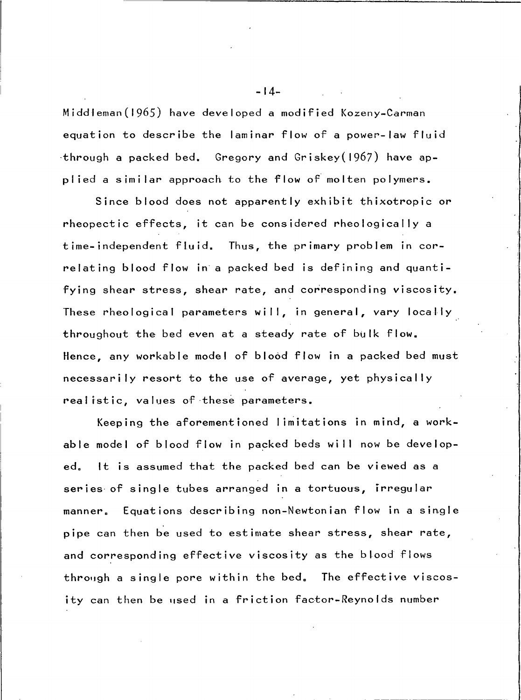Middleman (1965) have developed a modified Kozeny-Carman equation to describe the laminar flow of a power-law fluid through a packed bed. Gregory and Griskey(1967) have applied a similar approach to the flow of molten polymers.

Since blood does not apparently exhibit thixotropic or rheopectic effects, it can be considered rheologically a time-independent fluid. Thus, the primary problem in correlating blood flow in a packed bed is defining and quantifying shear stress, shear rate, and corresponding viscosity. These rheological parameters will, in general, vary locally throughout the bed even at a steady rate of bulk flow. Hence, any workable model of blood flow in a packed bed must necessarily resort to the use of average, yet physically realistic, values of these parameters.

Keeping the aforementioned limitations in mind, a workable model of blood flow in packed beds will now be develop-It is assumed that the packed bed can be viewed as a  $ed.$ series of single tubes arranged in a tortuous, irregular Equations describing non-Newtonian flow in a single manner. pipe can then be used to estimate shear stress, shear rate, and corresponding effective viscosity as the blood flows through a single pore within the bed. The effective viscosity can then be used in a friction factor-Reynolds number

 $-14-$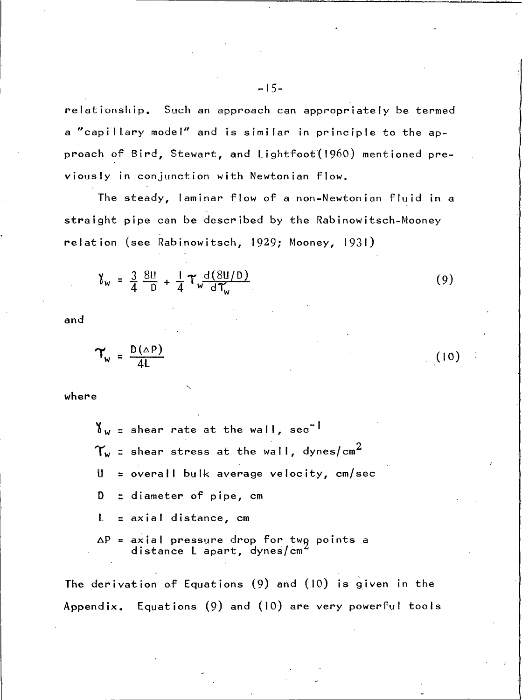relationship. Such an approach can appropriately be termed a "capillary model" and is similar in principle to the approach of Bird, Stewart, and Lightfoot (1960) mentioned previously in conjunction with Newtonian flow.

The steady, laminar flow of a non-Newtonian fluid in a straight pipe can be described by the Rabinowitsch-Mooney relation (see Rabinowitsch, 1929; Mooney, 1931)

$$
\gamma_{w} = \frac{3}{4} \frac{8u}{D} + \frac{1}{4} \Upsilon_{w} \frac{d(8u/D)}{dT_{w}}
$$
 (9)

and

$$
\mathbf{Y_w} = \frac{\mathbf{D}(\Delta \mathbf{P})}{4L} \tag{10}
$$

where

 $\delta_w$  = shear rate at the wall, sec<sup>-1</sup>  $\Upsilon_{\sf w}$  = shear stress at the wall, dynes/cm $^2$ = overall bulk average velocity, cm/sec U = diameter of pipe, cm D  $\mathbf{L}$ = axial distance, cm  $\Delta P$  = axial pressure drop for twg points a distance L apart, dynes/cm<sup>2</sup>

The derivation of Equations (9) and (10) is given in the Equations (9) and (10) are very powerful tools Appendix.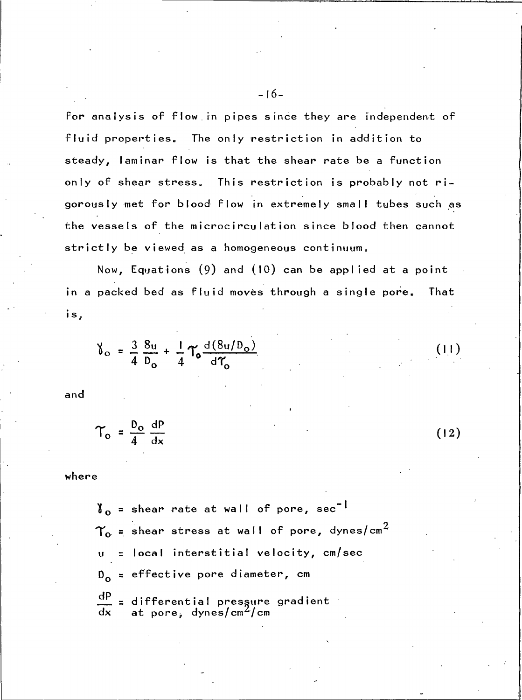for analysis of flow in pipes since they are independent of fluid properties. The only restriction in addition to steady, laminar flow is that the shear rate be a function only of shear stress. This restriction is probably not rigorously met for blood flow in extremely small tubes such as the vessels of the microcirculation since blood then cannot strictly be viewed as a homogeneous continuum.

Now, Equations (9) and (10) can be applied at a point in a packed bed as fluid moves through a single pore. That is,

 $(11)$ 

 $(12)$ 

$$
\delta_o = \frac{3}{4} \frac{8u}{D_o} + \frac{1}{4} \gamma_o \frac{d(8u/D_o)}{d\gamma_o}
$$

and

$$
\Upsilon_{\rm o} = \frac{\rm D_o}{4} \frac{\rm dP}{\rm dx}
$$

where

 $\delta_{0}$  = shear rate at wall of pore, sec<sup>-1</sup>  $\gamma_{o}$  = shear stress at wall of pore, dynes/cm<sup>2</sup> u = local interstitial velocity, cm/sec  $D_{0}$  = effective pore diameter, cm  $\frac{dP}{dx}$  = differential pressure gradient<br>dx at pore, dynes/cm<sup>2</sup>/cm

 $-16-$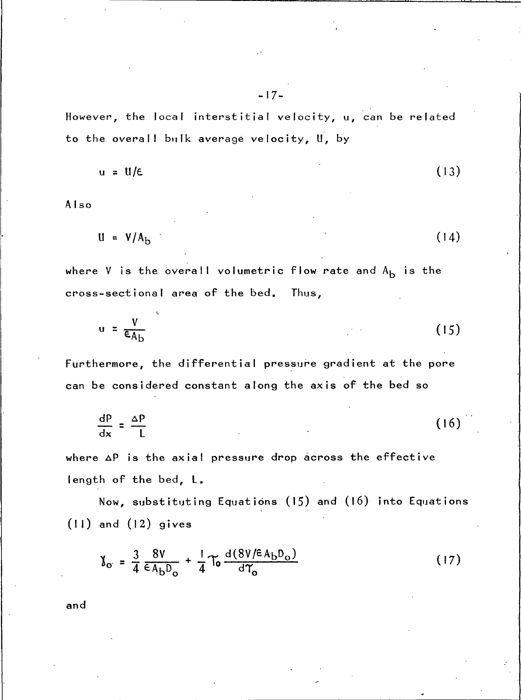However, the local interstitial velocity, u, can be related to the overall bulk average velocity, U, by

$$
u = u/\varepsilon \tag{13}
$$

Also

$$
U = V/A_{b}
$$
 (14)

where V is the overall volumetric flow rate and  $A_{\mathbf{b}}$  is the cross-sectional area of the bed. Thus,

$$
u = \frac{V}{\epsilon A_b} \tag{15}
$$

Furthermore, the differential pressure gradient at the pore can be considered constant along the axis of the bed so

$$
\frac{dP}{dx} = \frac{\Delta P}{L} \tag{16}
$$

where  $\Delta P$  is the axial pressure drop across the effective length of the bed, L.

Now, substituting Equations (15) and (16) into Equations  $(11)$  and  $(12)$  gives

$$
\gamma_o = \frac{3}{4} \frac{8V}{\epsilon A_b D_o} + \frac{1}{4} \gamma_o \frac{d(8V/\epsilon A_b D_o)}{dT_o}
$$
 (17)

and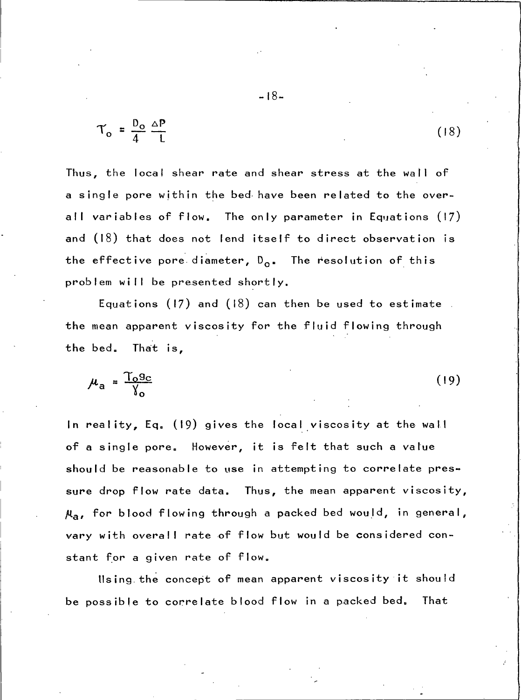$$
\Upsilon_{\rm o} = \frac{D_{\rm o}}{4} \frac{\Delta P}{L}
$$

Thus, the local shear rate and shear stress at the wall of a single pore within the bed have been related to the overall variables of flow. The only parameter in Equations (17) and (18) that does not lend itself to direct observation is the effective pore diameter, D<sub>o</sub>. The resolution of this problem will be presented shortly.

Equations (17) and (18) can then be used to estimate the mean apparent viscosity for the fluid flowing through the bed. That is,

$$
\mu_{\rm a} = \frac{T_{\rm o} g_{\rm c}}{\gamma_{\rm o}} \tag{19}
$$

In reality, Eq. (19) gives the local viscosity at the wall of a single pore. However, it is felt that such a value should be reasonable to use in attempting to correlate pressure drop flow rate data. Thus, the mean apparent viscosity,  $\mu_a$ , for blood flowing through a packed bed would, in general, vary with overa!! rate of flow but would be considered constant for a given rate of flow.

llsing the concept of mean apparent viscosity it should be possible to correlate blood flow in a packed bed. That

 $(18)$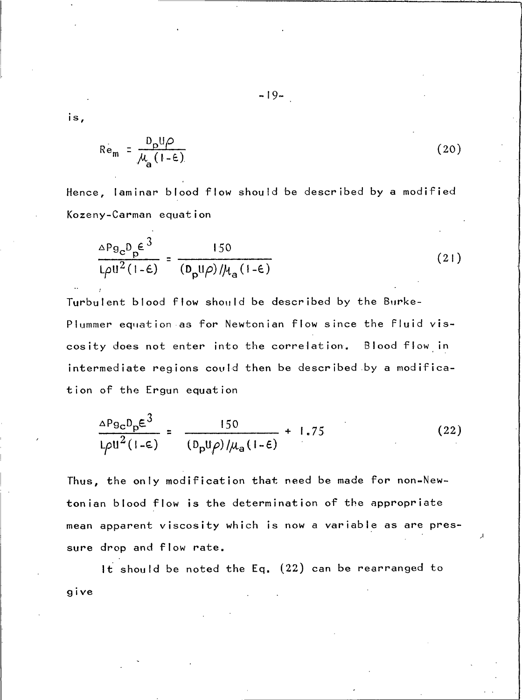$$
\operatorname{Re}_{\mathfrak{m}} = \frac{\operatorname{D}_{\mathfrak{p}} \mathfrak{U} \rho}{\mu_{\mathfrak{q}} \left( 1 - \epsilon \right)} \tag{20}
$$

Hence, laminar blood flow should be described by a modified Kozeny-Carman equation

$$
\frac{\Delta P g_c D_p \epsilon^3}{L \rho U^2 (1 - \epsilon)} = \frac{150}{(D_p U \rho) / \mu_a (1 - \epsilon)}
$$
(21)

Turbulent blood flow should be described by the Burke-Plummer equation as for Newtonian flow since the fluid vis-Blood flow in cosity does not enter into the correlation. intermediate regions could then be described by a modification of the Ergun equation

$$
\frac{\Delta P_{\text{9c}} D_{\text{p}} \epsilon^3}{L \rho U^2 (1 - \epsilon)} = \frac{150}{(D_{\text{p}} U \rho) / \mu_{\text{a}} (1 - \epsilon)} + 1.75
$$
 (22)

Thus, the only modification that need be made for non-Newtonian blood flow is the determination of the appropriate mean apparent viscosity which is now a variable as are pressure drop and flow rate.

It should be noted the Eq. (22) can be rearranged to give

is,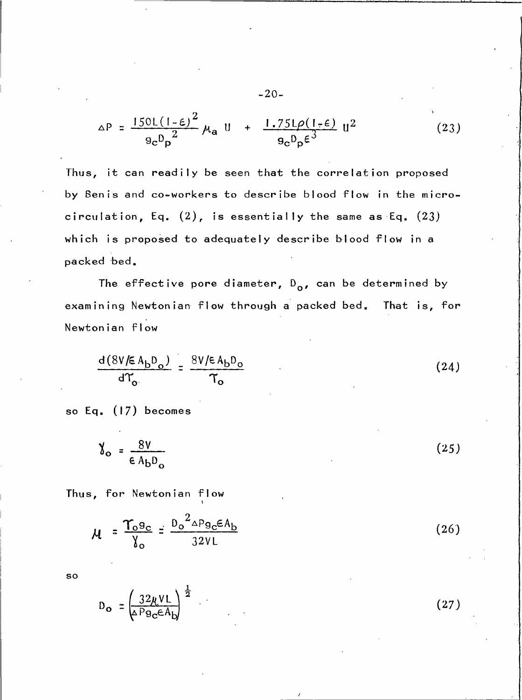$$
\Delta P = \frac{150L(I-\epsilon)^2}{9c^Dp^2} \mu_a U + \frac{1.75L\rho(I-\epsilon)}{9c^Dp^{\epsilon^3}} U^2
$$
 (23)

Thus, it can readily be seen that the correlation proposed by Benis and co-workers to describe blood flow in the microcirculation, Eq.  $(2)$ , is essentially the same as Eq.  $(23)$ which is proposed to adequately describe blood flow in a packed bed.

The effective pore diameter,  $D_{o}$ , can be determined by examining Newtonian flow through a packed bed. That is, for Newtonian flow

$$
\frac{d(8V/\epsilon A_b D_o)}{dT_o} = \frac{8V/\epsilon A_b D_o}{T_o}
$$
 (24)

so Eq. (17) becomes

$$
\delta_o = \frac{8V}{\epsilon A_b D_o}
$$
 (25)

Thus, for Newtonian flow

$$
\mu = \frac{\Upsilon_0 g_c}{\Upsilon_0} = \frac{D_0^2 \Delta p g_c \epsilon A_b}{32V L}
$$
 (26)

 $so$ 

$$
D_{o} = \left(\frac{32\mu VL}{4P_{9c}\epsilon A_{b}}\right)^{\frac{1}{2}}
$$

 $(27)$ 

 $-20-$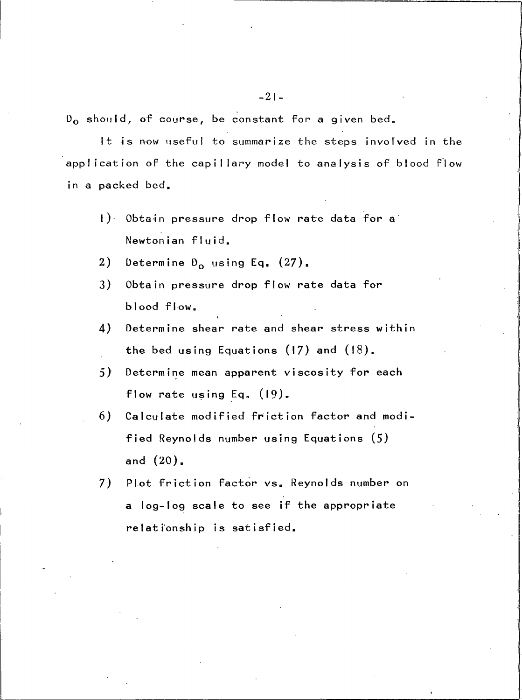Do should, of course, be constant for a given bed.

It is now useful to summarize the steps involved in the application of the capillary model to analysis of blood flow in a packed bed.

- $\left\{ \cdot \right\}$ Obtain pressure drop flow rate data for a Newtonian fluid.
- Determine  $D_0$  using Eq. (27). 2)
- 3) Obtain pressure drop flow rate data for blood flow.
- 4) Determine shear rate and shear stress within the bed using Equations (17) and (18).
- 5) Determine mean apparent viscosity for each flow rate using  $Eq. (19)$ .
- 6) Calculate modified friction factor and modified Reynolds number using Equations (5) and  $(20)$ .
- Plot friction factor vs. Reynolds number on 7) a log-log scale to see if the appropriate relationship is satisfied.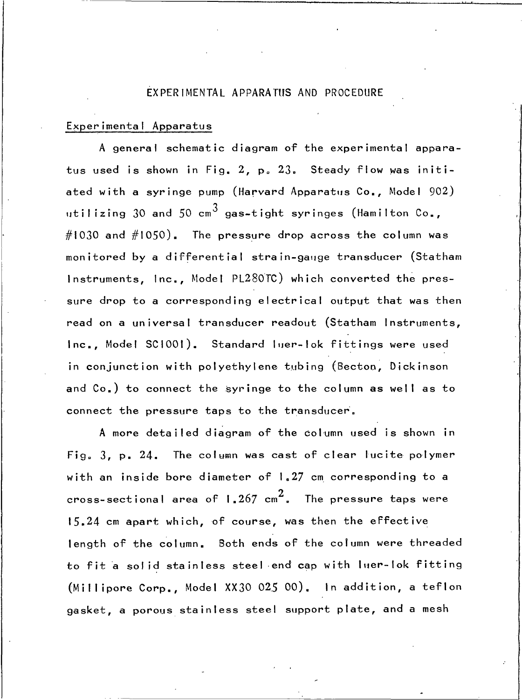### EXPERIMENTAL APPARATUS AND PROCEDURE

#### Experimental Apparatus

A general schematic diagram of the experimental apparatus used is shown in Fig. 2, p. 23. Steady flow was initiated with a syringe pump (Harvard Apparatus Co., Model 902) utilizing  $30$  and  $50 \text{ cm}^3$  gas-tight syringes (Hamilton Co.,  $\#1030$  and  $\#1050$ ). The pressure drop across the column was monitored by a differential strain-gauge transducer (Statham Instruments, Inc., Model PL280TC) which converted the pressure drop to a corresponding electrical output that was then read on a universal transducer readout (Statham Instruments, Inc., Model SC1001). Standard luer-lok fittings were used in conjunction with polyethylene tubing (Becton, Dickinson and Co.) to connect the syringe to the column as well as to connect the pressure taps to the transducer.

A more detailed diagram of the column used is shown in The column was cast of clear lucite polymer Fig.  $3. p. 24.$ with an inside bore diameter of 1.27 cm corresponding to a cross-sectional area of  $1.267$   $\text{cm}^2$ . The pressure taps were 15.24 cm apart which, of course, was then the effective length of the column. Both ends of the column were threaded to fit a solid stainless steel end cap with luer-lok fitting (Millipore Corp., Model XX30 025 00). In addition, a teflon gasket, a porous stainless steel support plate, and a mesh